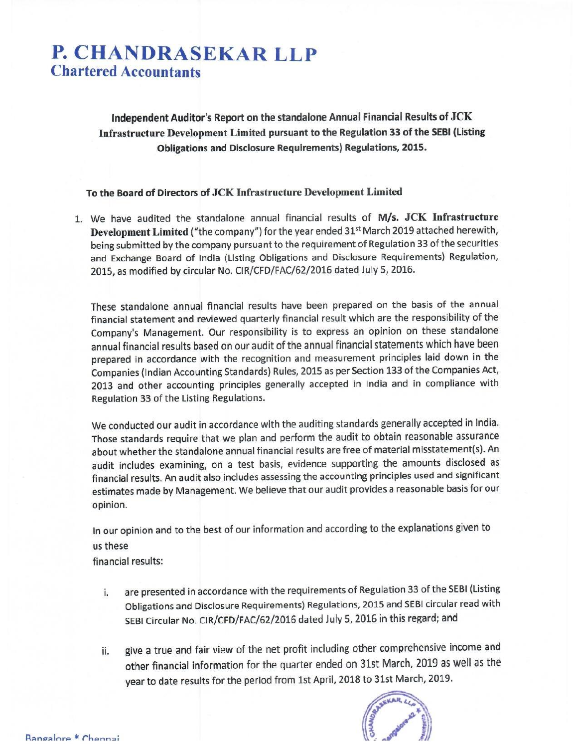# **P. CHANDRASEKAR LLP Chartered Accountants**

Independent Auditor's Report on the standalone Annual Financial Results of JCK Infrastructure Development Limited pursuant to the Regulation 33 of the SEBI (Listing **Obligations and Disclosure Requirements) Regulations, 2015.** 

#### To the Board of Directors of JCK Infrastructure Development Limited

1. We have audited the standalone annual financial results of M/s. JCK Infrastructure Development Limited ("the company") for the year ended 31<sup>st</sup> March 2019 attached herewith, being submitted by the company pursuant to the requirement of Regulation 33 of the securities and Exchange Board of India (Listing Obligations and Disclosure Requirements) Regulation, 2015, as modified by circular No. CIR/CFD/FAC/62/2016 dated July 5, 2016.

These standalone annual financial results have been prepared on the basis of the annual financial statement and reviewed quarterly financial result which are the responsibility of the Company's Management. Our responsibility is to express an opinion on these standalone annual financial results based on our audit of the annual financial statements which have been prepared in accordance with the recognition and measurement principles laid down in the Companies (Indian Accounting Standards) Rules, 2015 as per Section 133 of the Companies Act, 2013 and other accounting principles generally accepted in India and in compliance with Regulation 33 of the Listing Regulations.

We conducted our audit in accordance with the auditing standards generally accepted in India. Those standards require that we plan and perform the audit to obtain reasonable assurance about whether the standalone annual financial results are free of material misstatement(s). An audit includes examining, on a test basis, evidence supporting the amounts disclosed as financial results. An audit also includes assessing the accounting principles used and significant estimates made by Management. We believe that our audit provides a reasonable basis for our opinion.

In our opinion and to the best of our information and according to the explanations given to us these

financial results:

- are presented in accordance with the requirements of Regulation 33 of the SEBI (Listing i. Obligations and Disclosure Requirements) Regulations, 2015 and SEBI circular read with SEBI Circular No. CIR/CFD/FAC/62/2016 dated July 5, 2016 in this regard; and
- give a true and fair view of the net profit including other comprehensive income and ii. other financial information for the quarter ended on 31st March, 2019 as well as the year to date results for the period from 1st April, 2018 to 31st March, 2019.

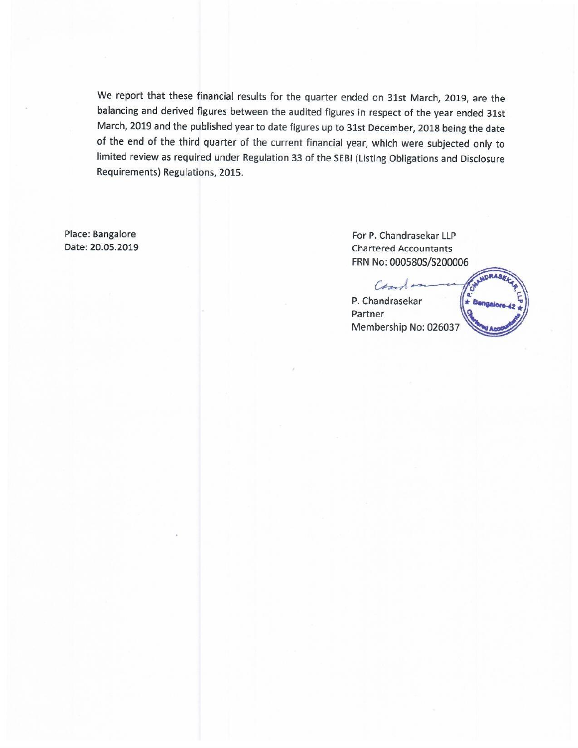We report that these financial results for the quarter ended on 31st March, 2019, are the balancing and derived figures between the audited figures in respect of the year ended 31st March, 2019 and the published year to date figures up to 31st December, 2018 being the date of the end of the third quarter of the current financial year, which were subjected only to limited review as required under Regulation 33 of the SEBI (Listing Obligations and Disclosure Requirements) Regulations, 2015.

Place: Bangalore Date: 20.05.2019

For P. Chandrasekar LLP **Chartered Accountants** FRN No: 000580S/S200006

CHANDRAS Cand P. Chandrasekar  $\star$  Bengal Partner Membership No: 026037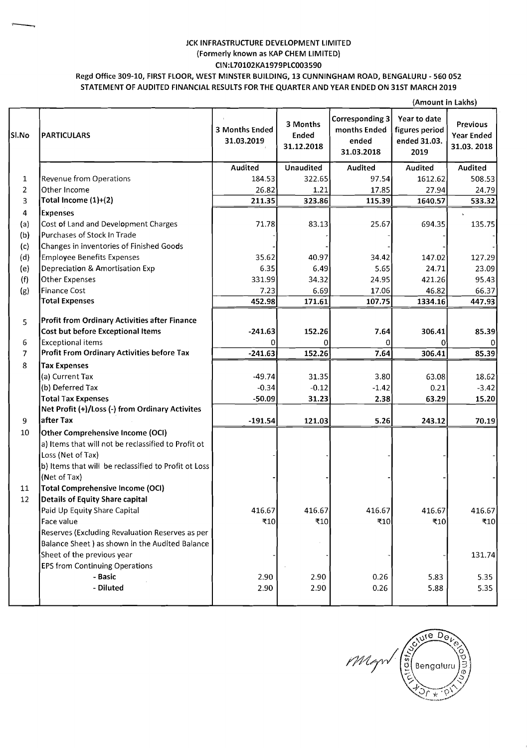## JCK INFRASTRUCTURE DEVELOPMENT LIMITED (Formerly known as KAP CHEM LIMITED) **CIN:L70102KA1979PLCO03590**

### Regd Office 309-10, FIRST FLOOR, WEST MINSTER BUILDING, 13 CUNNINGHAM ROAD, BENGALURU - 560 052 STATEMENT OF AUDITED FINANCIAL RESULTS FORTHE QUARTER AND YEAR ENDED ON 31ST MARCH 2019

|                |                                                      |                              |                                        |                                                               | (Amount in Lakhs)                                      |                                                    |
|----------------|------------------------------------------------------|------------------------------|----------------------------------------|---------------------------------------------------------------|--------------------------------------------------------|----------------------------------------------------|
| Sl.No          | <b>PARTICULARS</b>                                   | 3 Months Ended<br>31.03.2019 | 3 Months<br><b>Ended</b><br>31.12.2018 | <b>Corresponding 3</b><br>months Ended<br>ended<br>31.03.2018 | Year to date<br>figures period<br>ended 31.03.<br>2019 | <b>Previous</b><br><b>Year Ended</b><br>31.03.2018 |
|                |                                                      | Audited                      | Unaudited                              | Audited                                                       | Audited                                                | Audited                                            |
| 1              | Revenue from Operations                              | 184.53                       | 322.65                                 | 97.54                                                         | 1612.62                                                | 508.53                                             |
| $\overline{2}$ | Other Income                                         | 26.82                        | 1.21                                   | 17.85                                                         | 27.94                                                  | 24.79                                              |
| 3              | Total Income $(1)+(2)$                               | 211.35                       | 323.86                                 | 115.39                                                        | 1640.57                                                | 533.32                                             |
| 4              | <b>Expenses</b>                                      |                              |                                        |                                                               |                                                        |                                                    |
| (a)            | Cost of Land and Development Charges                 | 71.78                        | 83.13                                  | 25.67                                                         | 694.35                                                 | 135.75                                             |
| (b)            | Purchases of Stock In Trade                          |                              |                                        |                                                               |                                                        |                                                    |
| (c)            | Changes in inventories of Finished Goods             |                              |                                        |                                                               |                                                        |                                                    |
| (d)            | <b>Employee Benefits Expenses</b>                    | 35.62                        | 40.97                                  | 34.42                                                         | 147.02                                                 | 127.29                                             |
| (e)            | Depreciation & Amortisation Exp                      | 6.35                         | 6.49                                   | 5.65                                                          | 24.71                                                  | 23.09                                              |
| (f)            | Other Expenses                                       | 331.99                       | 34.32                                  | 24.95                                                         | 421.26                                                 | 95.43                                              |
| (g)            | <b>Finance Cost</b>                                  | 7.23                         | 6.69                                   | 17.06                                                         | 46.82                                                  | 66.37                                              |
|                | <b>Total Expenses</b>                                | 452.98                       | 171.61                                 | 107.75                                                        | 1334.16                                                | 447.93                                             |
|                | Profit from Ordinary Activities after Finance        |                              |                                        |                                                               |                                                        |                                                    |
| 5              | <b>Cost but before Exceptional Items</b>             | $-241.63$                    | 152.26                                 |                                                               | 306.41                                                 | 85.39                                              |
| 6              | <b>Exceptional items</b>                             | 0                            |                                        | 7.64<br>0                                                     |                                                        |                                                    |
| $\overline{7}$ | Profit From Ordinary Activities before Tax           | $-241.63$                    | 0<br>152.26                            | 7.64                                                          | 0<br>306.41                                            | 01<br>85.39                                        |
| 8              |                                                      |                              |                                        |                                                               |                                                        |                                                    |
|                | <b>Tax Expenses</b><br>(a) Current Tax               | $-49.74$                     | 31.35                                  | 3.80                                                          | 63.08                                                  | 18.62                                              |
|                | (b) Deferred Tax                                     | $-0.34$                      | $-0.12$                                | $-1.42$                                                       | 0.21                                                   | $-3.42$                                            |
|                | <b>Total Tax Expenses</b>                            | $-50.09$                     | 31.23                                  | 2.38                                                          | 63.29                                                  | 15.20                                              |
|                | Net Profit (+)/Loss (-) from Ordinary Activites      |                              |                                        |                                                               |                                                        |                                                    |
| 9              | after Tax                                            | $-191.54$                    | 121.03                                 | 5.26                                                          | 243.12                                                 | 70.19                                              |
| 10             | Other Comprehensive Income (OCI)                     |                              |                                        |                                                               |                                                        |                                                    |
|                | a) Items that will not be reclassified to Profit ot  |                              |                                        |                                                               |                                                        |                                                    |
|                | Loss (Net of Tax)                                    |                              |                                        |                                                               |                                                        |                                                    |
|                | b) Items that will be reclassified to Profit ot Loss |                              |                                        |                                                               |                                                        |                                                    |
|                | (Net of Tax)                                         |                              |                                        |                                                               |                                                        |                                                    |
| 11             | <b>Total Comprehensive Income (OCI)</b>              |                              |                                        |                                                               |                                                        |                                                    |
| 12             | <b>Details of Equity Share capital</b>               |                              |                                        |                                                               |                                                        |                                                    |
|                | Paid Up Equity Share Capital                         | 416.67                       | 416.67                                 | 416.67                                                        | 416.67                                                 | 416.67                                             |
|                | Face value                                           | ₹10                          | ₹10                                    | ₹10                                                           | ₹10                                                    | ₹10                                                |
|                | Reserves (Excluding Revaluation Reserves as per      |                              |                                        |                                                               |                                                        |                                                    |
|                | Balance Sheet ) as shown in the Audited Balance      |                              |                                        |                                                               |                                                        |                                                    |
|                | Sheet of the previous year                           |                              |                                        |                                                               |                                                        | 131.74                                             |
|                | <b>EPS from Continuing Operations</b>                |                              |                                        |                                                               |                                                        |                                                    |
|                | - Basic                                              | 2.90                         | 2.90                                   | 0.26                                                          | 5.83                                                   | 5.35                                               |
|                | - Diluted                                            | 2.90                         | 2.90                                   | 0.26                                                          | 5.88                                                   | 5.35                                               |
|                |                                                      |                              |                                        |                                                               |                                                        |                                                    |

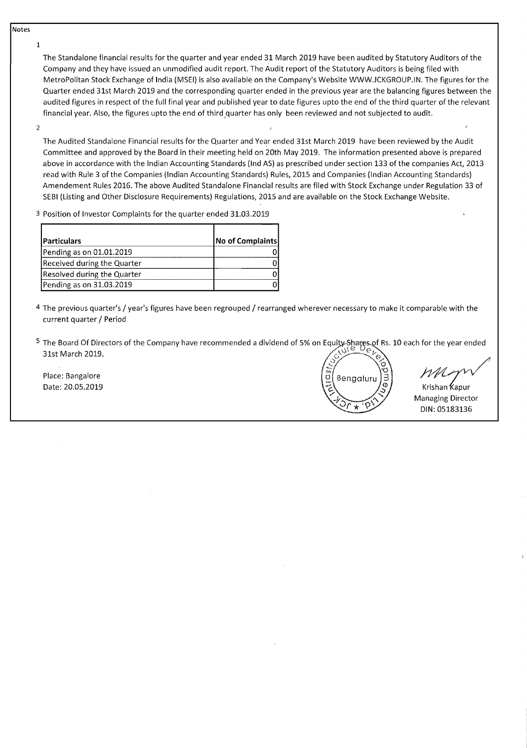**Notes** 

**1** 

The Standalone financial results for the quarter and year ended 31 March 2019 have been audited by Statutory Auditors of the Company and they have issued an unmodified audit report. The Audit report of the Statutory Auditors is being filed with Metropolitan Stock Exchange of India (MSEI) is also available on the Company's Website WWW.JCKGROUP.IN. The figures for the Quarter ended 31st March 2019 and the corresponding quarter ended in the previous year are the balancing figures between the audited figures in respect of the full final year and published year to date figures upto the end of the third quarter of the relevant financial year. Also, the figures upto the end of third quarter has only been reviewed and not subjected to audit.

2

The Audited Standalone Financial results for the Quarter and Year ended 31st March 2019 have been reviewed by the Audit Committee and approved by the Board in their meeting held on 20th May 2019. The information presented above is prepared above in accordance with the Indian Accounting Standards (Ind AS) as prescribed under section 133 of the companies Act, 2013 read with Rule 3 of the Companies (Indian Accounting Standards) Rules, 2015 and Companies (Indian Accounting Standards) Amendement Rules 2016. The above Audited Standalone Financial results are filed with Stock Exchange under Regulation 33 of SEBl (Listing and Other Disclosure Requirements) Regulations, 2015 and are available on the Stock Exchange Website.

**3** Position of Investor Complaints for the quarter ended 31.03.2019

| <b>Particulars</b>          | No of Complaints |
|-----------------------------|------------------|
| Pending as on 01.01.2019    |                  |
| Received during the Quarter |                  |
| Resolved during the Quarter |                  |
| Pending as on 31.03.2019    |                  |

- 4 The previous quarter's / year's figures have been regrouped / rearranged wherever necessary to make it comparable with the current quarter / Period
- <sup>5</sup> The Board Of Directors of the Company have recommended a dividend of 5% on Equity Shares of Rs. 10 each for the year ended 31st March 2019.

Place: Bangalore Date: 20.05.2019

Benaalu

 $m_{\gamma}$ 

Krishan **Ƙa**pur Managing Director DIN: 05183136